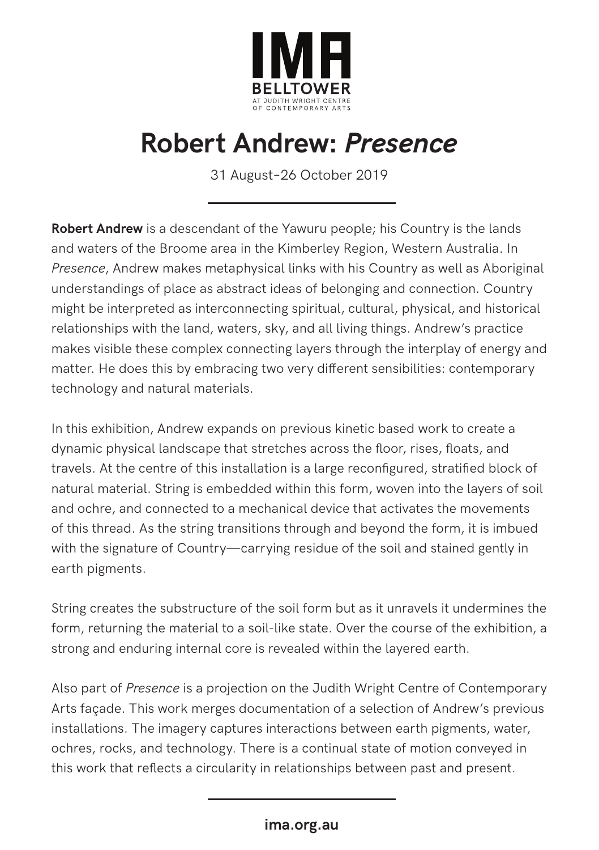

# **Robert Andrew:** *Presence*

31 August–26 October 2019

**Robert Andrew** is a descendant of the Yawuru people; his Country is the lands and waters of the Broome area in the Kimberley Region, Western Australia. In *Presence*, Andrew makes metaphysical links with his Country as well as Aboriginal understandings of place as abstract ideas of belonging and connection. Country might be interpreted as interconnecting spiritual, cultural, physical, and historical relationships with the land, waters, sky, and all living things. Andrew's practice makes visible these complex connecting layers through the interplay of energy and matter. He does this by embracing two very different sensibilities: contemporary technology and natural materials.

In this exhibition, Andrew expands on previous kinetic based work to create a dynamic physical landscape that stretches across the floor, rises, floats, and travels. At the centre of this installation is a large reconfigured, stratified block of natural material. String is embedded within this form, woven into the layers of soil and ochre, and connected to a mechanical device that activates the movements of this thread. As the string transitions through and beyond the form, it is imbued with the signature of Country—carrying residue of the soil and stained gently in earth pigments.

String creates the substructure of the soil form but as it unravels it undermines the form, returning the material to a soil-like state. Over the course of the exhibition, a strong and enduring internal core is revealed within the layered earth.

Also part of *Presence* is a projection on the Judith Wright Centre of Contemporary Arts façade. This work merges documentation of a selection of Andrew's previous installations. The imagery captures interactions between earth pigments, water, ochres, rocks, and technology. There is a continual state of motion conveyed in this work that reflects a circularity in relationships between past and present.